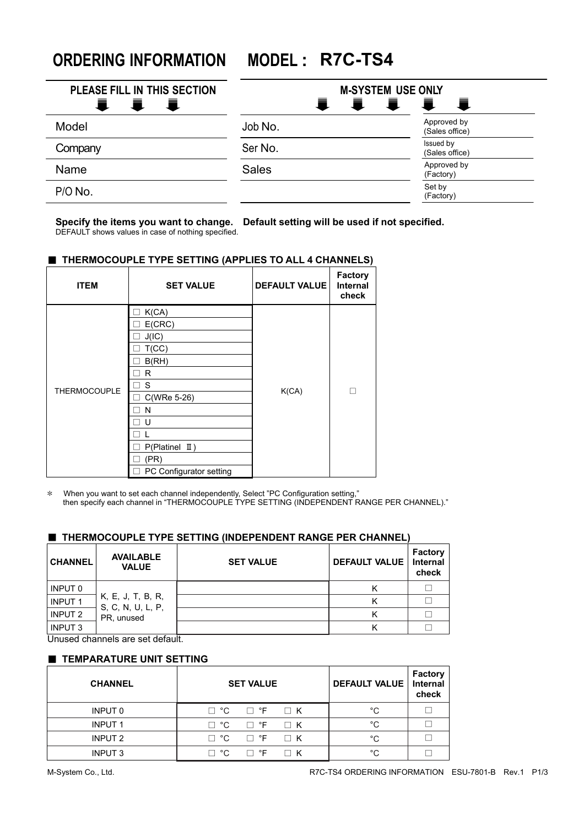**ORDERING INFORMATION MODEL : R7C-TS4**

| PLEASE FILL IN THIS SECTION<br>≡ | <b>M-SYSTEM USE ONLY</b><br>Ħ.<br>₹.<br>量<br>量 |                               |  |
|----------------------------------|------------------------------------------------|-------------------------------|--|
| 量<br>鼍<br>Model                  | Job No.                                        | Approved by<br>(Sales office) |  |
| Company                          | Ser No.                                        | Issued by<br>(Sales office)   |  |
| Name                             | <b>Sales</b>                                   | Approved by<br>(Factory)      |  |
| P/O No.                          |                                                | Set by<br>(Factory)           |  |

**Specify the items you want to change. Default setting will be used if not specified.** DEFAULT shows values in case of nothing specified.

# ■ **THERMOCOUPLE TYPE SETTING (APPLIES TO ALL 4 CHANNELS)**

| <b>ITEM</b>         | <b>SET VALUE</b>                  | <b>DEFAULT VALUE</b> | <b>Factory</b><br><b>Internal</b><br>check |
|---------------------|-----------------------------------|----------------------|--------------------------------------------|
|                     | K(CA)<br>$\overline{\phantom{a}}$ |                      |                                            |
|                     | E(CRC)                            |                      |                                            |
|                     | J(IC)                             |                      |                                            |
|                     | T(CC)                             |                      |                                            |
|                     | B(RH)                             |                      |                                            |
|                     | R                                 |                      |                                            |
| <b>THERMOCOUPLE</b> | S                                 | K(CA)                | П                                          |
|                     | C(WRe 5-26)                       |                      |                                            |
|                     | N                                 |                      |                                            |
|                     | U                                 |                      |                                            |
|                     |                                   |                      |                                            |
|                     | $P(Platinel \quad II)$            |                      |                                            |
|                     | (PR)                              |                      |                                            |
|                     | PC Configurator setting           |                      |                                            |

\* When you want to set each channel independently, Select "PC Configuration setting," then specify each channel in "THERMOCOUPLE TYPE SETTING (INDEPENDENT RANGE PER CHANNEL)."

## ■ **THERMOCOUPLE TYPE SETTING (INDEPENDENT RANGE PER CHANNEL)**

| <b>CHANNEL</b>     | <b>AVAILABLE</b><br><b>VALUE</b>                     | <b>SET VALUE</b> | <b>DEFAULT VALUE</b> | Factory<br><b>Internal</b><br>check |
|--------------------|------------------------------------------------------|------------------|----------------------|-------------------------------------|
| INPUT 0            |                                                      |                  | ĸ                    |                                     |
| <b>INPUT 1</b>     | K, E, J, T, B, R,<br>S, C, N, U, L, P,<br>PR. unused |                  |                      |                                     |
| INPUT <sub>2</sub> |                                                      |                  |                      |                                     |
| <b>INPUT 3</b>     |                                                      |                  | n                    |                                     |

Unused channels are set default.

### ■ **TEMPARATURE UNIT SETTING**

| <b>CHANNEL</b>     | <b>SET VALUE</b>                        | <b>DEFAULT VALUE  </b> | <b>Factory</b><br><b>Internal</b><br>check |
|--------------------|-----------------------------------------|------------------------|--------------------------------------------|
| INPUT 0            | $\Box$ $\degree$ F<br>°C<br>$\Box K$    | °C                     |                                            |
| <b>INPUT 1</b>     | $\Box$ ${}^{\circ}$ F<br>°С<br>$\Box K$ | °C                     |                                            |
| INPUT <sub>2</sub> | °€<br>$\Box$ ${}^{\circ}$ F<br>$\Box K$ | °C.                    |                                            |
| <b>INPUT 3</b>     | □ °F<br>°C<br>$\sqcap$ K                | °∩                     |                                            |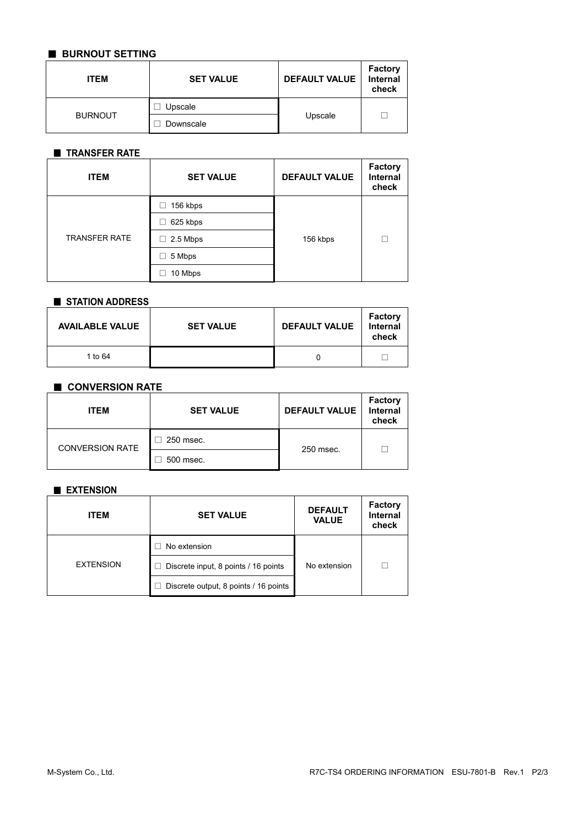# ■ **BURNOUT SETTING**

| <b>ITEM</b>    | <b>SET VALUE</b> | <b>DEFAULT VALUE</b> | <b>Factory</b><br><b>Internal</b><br>check |
|----------------|------------------|----------------------|--------------------------------------------|
|                | Upscale          |                      |                                            |
| <b>BURNOUT</b> | Downscale        | Upscale              |                                            |

# ■ **TRANSFER RATE**

| <b>ITEM</b>          | <b>SET VALUE</b> | <b>DEFAULT VALUE</b> | Factory<br><b>Internal</b><br>check |
|----------------------|------------------|----------------------|-------------------------------------|
| <b>TRANSFER RATE</b> | 156 kbps         |                      |                                     |
|                      | 625 kbps         |                      | П                                   |
|                      | $\Box$ 2.5 Mbps  | 156 kbps             |                                     |
|                      | 5 Mbps           |                      |                                     |
|                      | 10 Mbps          |                      |                                     |

#### ■ **STATION ADDRESS**

| <b>AVAILABLE VALUE</b> | <b>SET VALUE</b> | <b>DEFAULT VALUE</b> | <b>Factory</b><br>Internal<br>check |
|------------------------|------------------|----------------------|-------------------------------------|
| 1 to 64                |                  |                      |                                     |

## ■ **CONVERSION RATE**

| <b>ITEM</b>            | <b>SET VALUE</b> | <b>DEFAULT VALUE</b> | <b>Factory</b><br>Internal<br>check |
|------------------------|------------------|----------------------|-------------------------------------|
| <b>CONVERSION RATE</b> | 250 msec.        | 250 msec.            |                                     |
|                        | 500 msec.        |                      |                                     |

# ■ **EXTENSION**

| <b>ITEM</b>      | <b>SET VALUE</b>                      | <b>DEFAULT</b><br><b>VALUE</b> | <b>Factory</b><br><b>Internal</b><br>check |
|------------------|---------------------------------------|--------------------------------|--------------------------------------------|
|                  | No extension                          |                                |                                            |
| <b>EXTENSION</b> | Discrete input, 8 points / 16 points  | No extension                   | П                                          |
|                  | Discrete output, 8 points / 16 points |                                |                                            |